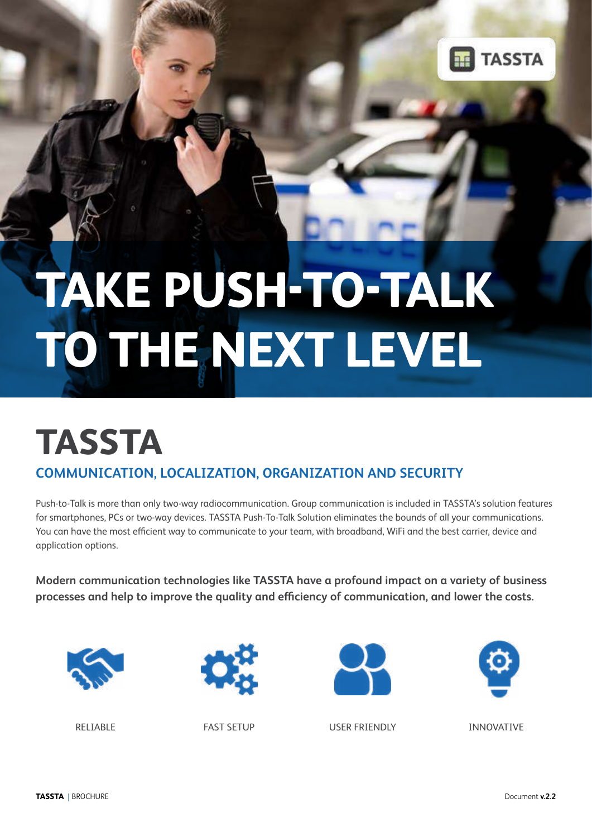

# **TAKE PUSH-TO-TALK TO THE NEXT LEVEL**

## **TASSTA COMMUNICATION, LOCALIZATION, ORGANIZATION AND SECURITY**

Push-to-Talk is more than only two-way radiocommunication. Group communication is included in TASSTA's solution features for smartphones, PCs or two-way devices. TASSTA Push-To-Talk Solution eliminates the bounds of all your communications. You can have the most efficient way to communicate to your team, with broadband, WiFi and the best carrier, device and application options.

**Modern communication technologies like TASSTA have a profound impact on a variety of business processes and help to improve the quality and efficiency of communication, and lower the costs.**









RELIABLE FAST SETUP USER FRIENDLY INNOVATIVE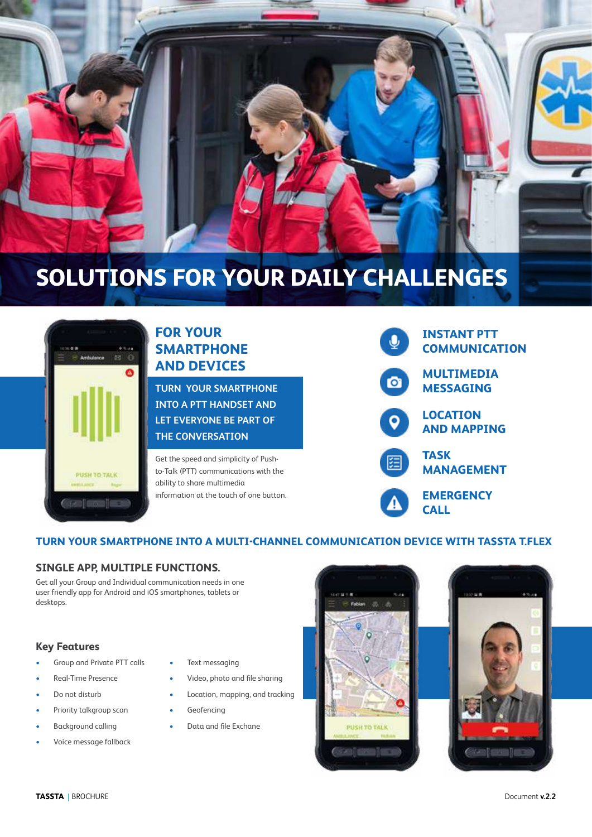



## **FOR YOUR SMARTPHONE AND DEVICES**

**TURN YOUR SMARTPHONE INTO A PTT HANDSET AND LET EVERYONE BE PART OF THE CONVERSATION**

Get the speed and simplicity of Pushto-Talk (PTT) communications with the ability to share multimedia information at the touch of one button.



## **TURN YOUR SMARTPHONE INTO A MULTI-CHANNEL COMMUNICATION DEVICE WITH TASSTA T.FLEX**

## **SINGLE APP, MULTIPLE FUNCTIONS.**

Get all your Group and Individual communication needs in one user friendly app for Android and iOS smartphones, tablets or desktops.

#### **Key Features**

- Group and Private PTT calls
- Real-Time Presence
- Do not disturb
- Priority talkgroup scan
- Background calling
- Voice message fallback
- Text messaging
- Video, photo and file sharing
- Location, mapping, and tracking
	- **Geofencing**
- Data and file Exchane

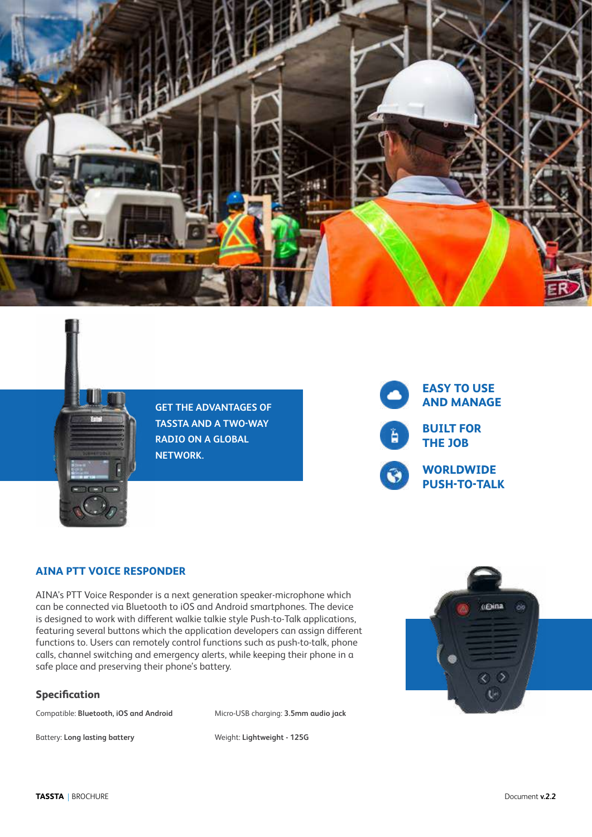



**GET THE ADVANTAGES OF TASSTA AND A TWO-WAY RADIO ON A GLOBAL NETWORK.**



## **AINA PTT VOICE RESPONDER**

AINA's PTT Voice Responder is a next generation speaker-microphone which can be connected via Bluetooth to iOS and Android smartphones. The device is designed to work with different walkie talkie style Push-to-Talk applications, featuring several buttons which the application developers can assign different functions to. Users can remotely control functions such as push-to-talk, phone calls, channel switching and emergency alerts, while keeping their phone in a safe place and preserving their phone's battery.

#### **Specification**

Compatible: **Bluetooth, iOS and Android** Micro-USB charging: **3.5mm audio jack**

Battery: **Long lasting battery** Weight: **Lightweight - 125G**

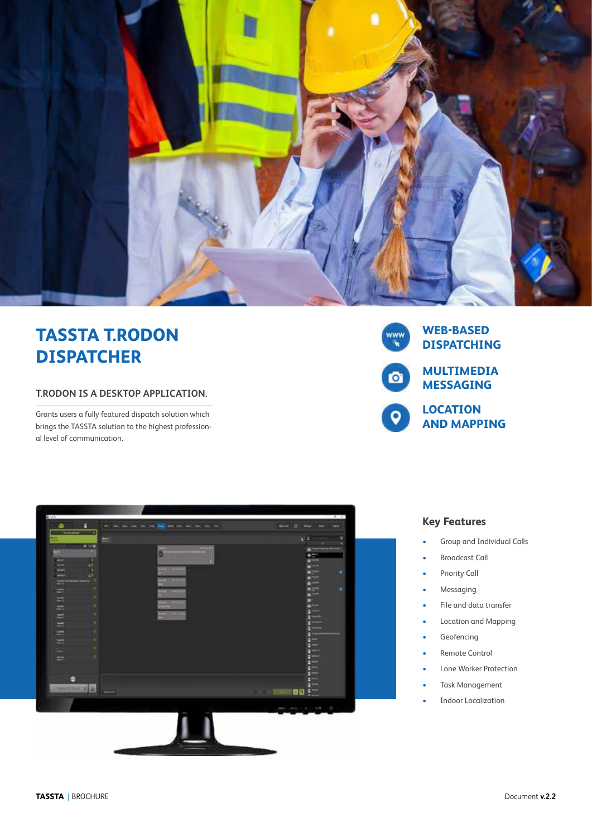

## **TASSTA T.RODON DISPATCHER**

#### **T.RODON IS A DESKTOP APPLICATION.**

Grants users a fully featured dispatch solution which brings the TASSTA solution to the highest professional level of communication.





#### **Key Features**

- Group and Individual Calls
- Broadcast Call
- Priority Call
- Messaging
- File and data transfer
- Location and Mapping
- **Geofencing**
- Remote Control
- Lone Worker Protection
- Task Management
- Indoor Localization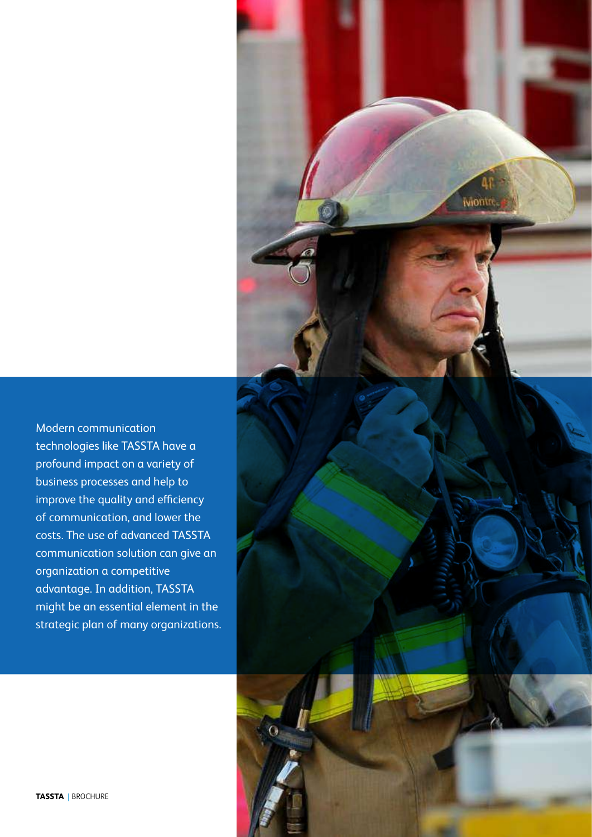

Modern communication technologies like TASSTA have a profound impact on a variety of business processes and help to improve the quality and efficiency of communication, and lower the costs. The use of advanced TASSTA communication solution can give an organization a competitive advantage. In addition, TASSTA might be an essential element in the strategic plan of many organizations.

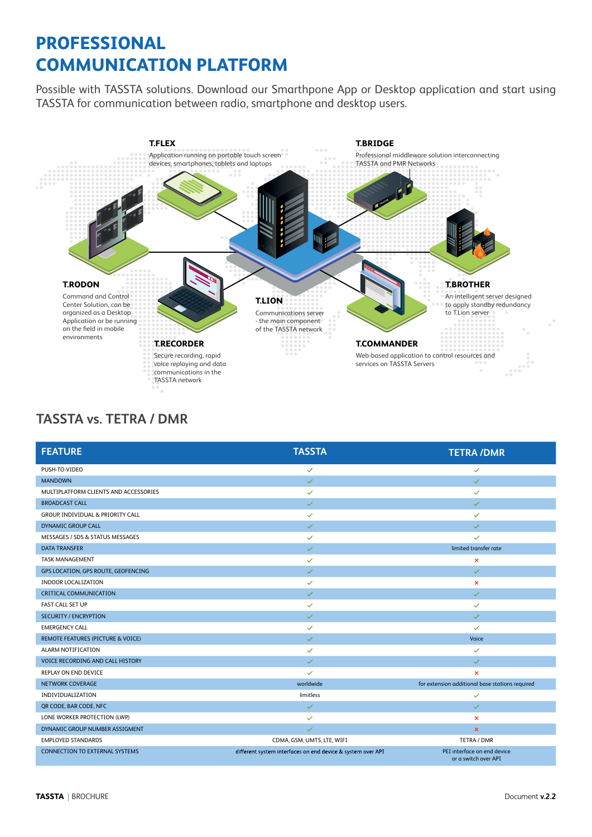## **PROFESSIONAL COMMUNICATION PLATFORM**

Possible with TASSTA solutions. Download our Smarthpone App or Desktop application and start using TASSTA for communication between radio, smartphone and desktop users.



## **TASSTA vs. TETRA / DMR**

| <b>FEATURE</b>                        | <b>TASSTA</b>                                               | <b>TETRA/DMR</b>                                    |
|---------------------------------------|-------------------------------------------------------------|-----------------------------------------------------|
| PUSH-TO-VIDEO                         | ✓                                                           | $\checkmark$                                        |
| <b>MANDOWN</b>                        | $\checkmark$                                                | $\checkmark$                                        |
| MULTIPLATFORM CLIENTS AND ACCESSORIES | $\checkmark$                                                | $\checkmark$                                        |
| <b>BROADCAST CALL</b>                 | $\checkmark$                                                | $\checkmark$                                        |
| GROUP, INDIVIDUAL & PRIORITY CALL     | $\checkmark$                                                | $\checkmark$                                        |
| DYNAMIC GROUP CALL                    | $\checkmark$                                                | $\checkmark$                                        |
| MESSAGES / SDS & STATUS MESSAGES      | $\checkmark$                                                | $\checkmark$                                        |
| <b>DATA TRANSFER</b>                  | $\checkmark$                                                | limited transfer rate                               |
| <b>TASK MANAGEMENT</b>                | $\checkmark$                                                | $\pmb{\times}$                                      |
| GPS LOCATION, GPS ROUTE, GEOFENCING   | $\checkmark$                                                | $\checkmark$                                        |
| INDOOR LOCALIZATION                   | $\checkmark$                                                | $\times$                                            |
| CRITICAL COMMUNICATION                | $\checkmark$                                                | $\checkmark$                                        |
| <b>FAST CALL SET UP</b>               | $\checkmark$                                                | $\checkmark$                                        |
| <b>SECURITY / ENCRYPTION</b>          | $\checkmark$                                                | $\checkmark$                                        |
| <b>EMERGENCY CALL</b>                 | $\checkmark$                                                | $\checkmark$                                        |
| REMOTE FEATURES (PICTURE & VOICE)     | $\checkmark$                                                | Voice                                               |
| ALARM NOTIFICATION                    | $\checkmark$                                                | $\checkmark$                                        |
| VOICE RECORDING AND CALL HISTORY      | $\checkmark$                                                | $\checkmark$                                        |
| REPLAY ON END DEVICE                  | $\checkmark$                                                | ×                                                   |
| NETWORK COVERAGE                      | worldwide                                                   | for extension additional base stations required     |
| INDIVIDUALIZATION                     | limitless                                                   | $\checkmark$                                        |
| QR CODE, BAR CODE, NFC                | $\checkmark$                                                | $\checkmark$                                        |
| LONE WORKER PROTECTION (LWP)          | $\checkmark$                                                | $\boldsymbol{\times}$                               |
| DYNAMIC GROUP NUMBER ASSIGMENT        | $\checkmark$                                                | $\times$                                            |
| <b>EMPLOYED STANDARDS</b>             | CDMA, GSM, UMTS, LTE, WIFI                                  | TETRA / DMR                                         |
| <b>CONNECTION TO EXTERNAL SYSTEMS</b> | different system interfaces on end device & system over API | PEI interface on end device<br>or a switch over API |